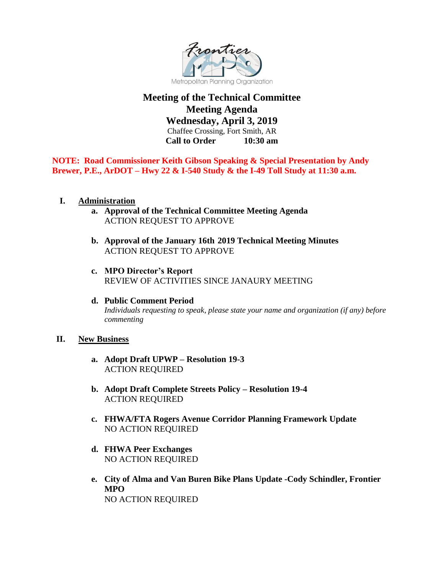

# **Meeting of the Technical Committee Meeting Agenda**

**Wednesday, April 3, 2019** Chaffee Crossing, Fort Smith, AR **Call to Order 10:30 am**

**NOTE: Road Commissioner Keith Gibson Speaking & Special Presentation by Andy Brewer, P.E., ArDOT – Hwy 22 & I-540 Study & the I-49 Toll Study at 11:30 a.m.** 

### **I. Administration**

- **a. Approval of the Technical Committee Meeting Agenda** ACTION REQUEST TO APPROVE
- **b. Approval of the January 16th 2019 Technical Meeting Minutes**  ACTION REQUEST TO APPROVE
- **c. MPO Director's Report**  REVIEW OF ACTIVITIES SINCE JANAURY MEETING
- **d. Public Comment Period** *Individuals requesting to speak, please state your name and organization (if any) before commenting*

#### **II. New Business**

- **a. Adopt Draft UPWP – Resolution 19-3** ACTION REQUIRED
- **b. Adopt Draft Complete Streets Policy – Resolution 19-4** ACTION REQUIRED
- **c. FHWA/FTA Rogers Avenue Corridor Planning Framework Update** NO ACTION REQUIRED
- **d. FHWA Peer Exchanges** NO ACTION REQUIRED
- **e. City of Alma and Van Buren Bike Plans Update -Cody Schindler, Frontier MPO** NO ACTION REQUIRED